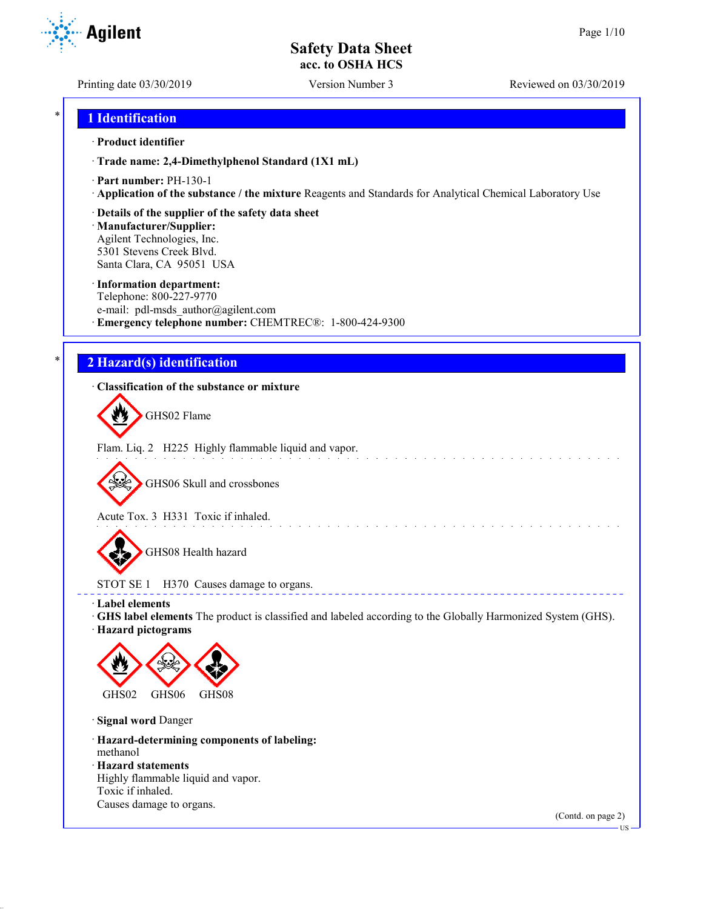**Agilent** 

Printing date 03/30/2019 Version Number 3 Reviewed on 03/30/2019

## \* **1 Identification**

#### · **Product identifier**

· **Trade name: 2,4-Dimethylphenol Standard (1X1 mL)**

- · **Part number:** PH-130-1
- · **Application of the substance / the mixture** Reagents and Standards for Analytical Chemical Laboratory Use

#### · **Details of the supplier of the safety data sheet**

· **Manufacturer/Supplier:** Agilent Technologies, Inc. 5301 Stevens Creek Blvd. Santa Clara, CA 95051 USA

#### · **Information department:**

Telephone: 800-227-9770 e-mail: pdl-msds author@agilent.com · **Emergency telephone number:** CHEMTREC®: 1-800-424-9300

## \* **2 Hazard(s) identification**

#### · **Classification of the substance or mixture**

GHS02 Flame

Flam. Liq. 2 H225 Highly flammable liquid and vapor.

GHS06 Skull and crossbones

Acute Tox. 3 H331 Toxic if inhaled.

GHS08 Health hazard

## STOT SE 1 H370 Causes damage to organs.

· **Label elements**

· **GHS label elements** The product is classified and labeled according to the Globally Harmonized System (GHS).

and the state of the state of the

**ELECT** 

· **Hazard pictograms**



· **Signal word** Danger

· **Hazard-determining components of labeling:** methanol

- · **Hazard statements**
- Highly flammable liquid and vapor. Toxic if inhaled. Causes damage to organs.

(Contd. on page 2)

US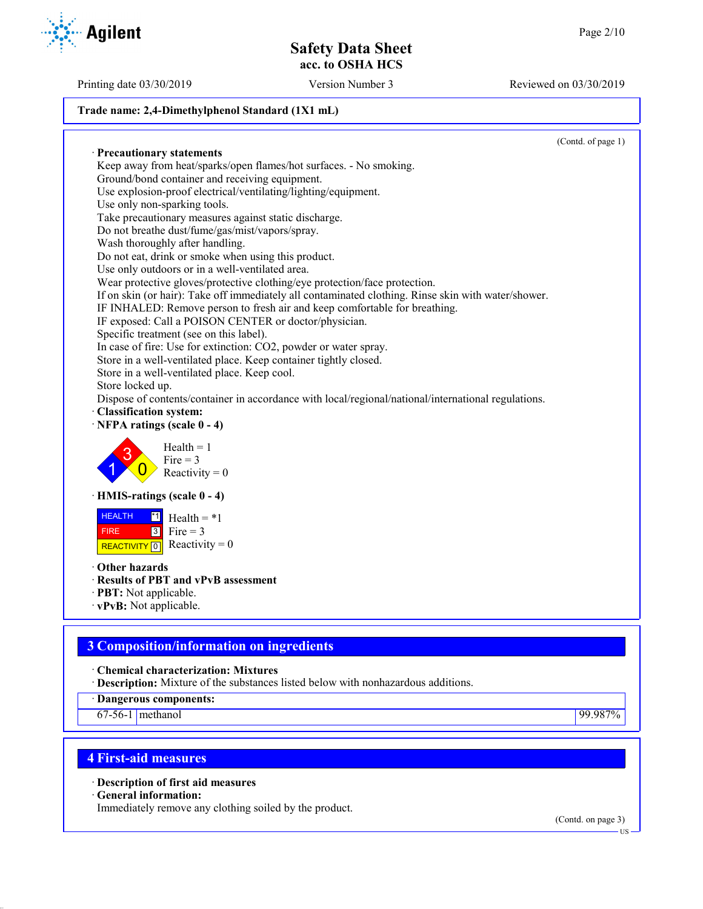Printing date 03/30/2019 Version Number 3 Reviewed on 03/30/2019

#### **Trade name: 2,4-Dimethylphenol Standard (1X1 mL)**

· **Precautionary statements** Keep away from heat/sparks/open flames/hot surfaces. - No smoking. Ground/bond container and receiving equipment. Use explosion-proof electrical/ventilating/lighting/equipment. Use only non-sparking tools. Take precautionary measures against static discharge. Do not breathe dust/fume/gas/mist/vapors/spray. Wash thoroughly after handling. Do not eat, drink or smoke when using this product. Use only outdoors or in a well-ventilated area. Wear protective gloves/protective clothing/eye protection/face protection. If on skin (or hair): Take off immediately all contaminated clothing. Rinse skin with water/shower. IF INHALED: Remove person to fresh air and keep comfortable for breathing. IF exposed: Call a POISON CENTER or doctor/physician. Specific treatment (see on this label). In case of fire: Use for extinction: CO2, powder or water spray. Store in a well-ventilated place. Keep container tightly closed. Store in a well-ventilated place. Keep cool. Store locked up. Dispose of contents/container in accordance with local/regional/national/international regulations. · **Classification system:** · **NFPA ratings (scale 0 - 4)** 1 3  $\overline{0}$  $Health = 1$  $Fire = 3$ Reactivity  $= 0$ · **HMIS-ratings (scale 0 - 4) HEALTH**  FIRE REACTIVITY  $\boxed{0}$  Reactivity = 0  $\overline{1}$  Health = \*1  $3$  Fire = 3 · **Other hazards** · **Results of PBT and vPvB assessment** · **PBT:** Not applicable. · **vPvB:** Not applicable.

# **3 Composition/information on ingredients**

· **Chemical characterization: Mixtures**

· **Description:** Mixture of the substances listed below with nonhazardous additions.

· **Dangerous components:**

67-56-1 methanol 99.987%

# **4 First-aid measures**

· **Description of first aid measures**

· **General information:**

Immediately remove any clothing soiled by the product.

(Contd. on page 3)



(Contd. of page 1)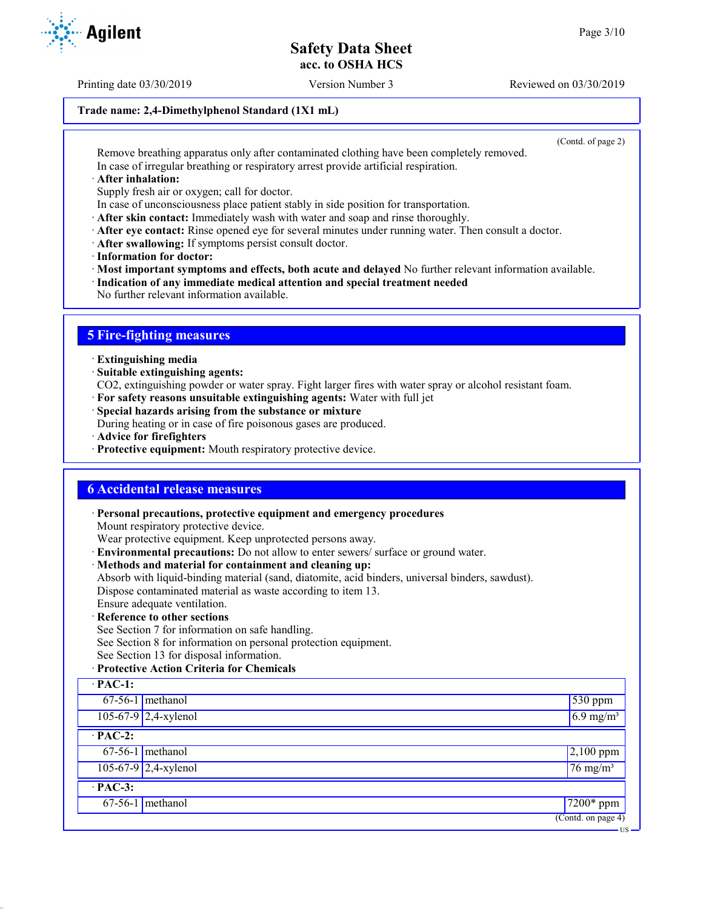Printing date 03/30/2019 Version Number 3 Reviewed on 03/30/2019

#### **Trade name: 2,4-Dimethylphenol Standard (1X1 mL)**

(Contd. of page 2)

US

Remove breathing apparatus only after contaminated clothing have been completely removed. In case of irregular breathing or respiratory arrest provide artificial respiration.

· **After inhalation:**

Supply fresh air or oxygen; call for doctor.

In case of unconsciousness place patient stably in side position for transportation.

· **After skin contact:** Immediately wash with water and soap and rinse thoroughly.

- · **After eye contact:** Rinse opened eye for several minutes under running water. Then consult a doctor.
- · **After swallowing:** If symptoms persist consult doctor.
- · **Information for doctor:**

· **Most important symptoms and effects, both acute and delayed** No further relevant information available.

· **Indication of any immediate medical attention and special treatment needed**

No further relevant information available.

## **5 Fire-fighting measures**

· **Extinguishing media**

· **Suitable extinguishing agents:**

CO2, extinguishing powder or water spray. Fight larger fires with water spray or alcohol resistant foam.

- · **For safety reasons unsuitable extinguishing agents:** Water with full jet
- · **Special hazards arising from the substance or mixture**

During heating or in case of fire poisonous gases are produced.

- · **Advice for firefighters**
- · **Protective equipment:** Mouth respiratory protective device.

## **6 Accidental release measures**

· **Personal precautions, protective equipment and emergency procedures**

Mount respiratory protective device.

Wear protective equipment. Keep unprotected persons away.

- · **Environmental precautions:** Do not allow to enter sewers/ surface or ground water.
- · **Methods and material for containment and cleaning up:**

Absorb with liquid-binding material (sand, diatomite, acid binders, universal binders, sawdust). Dispose contaminated material as waste according to item 13.

- Ensure adequate ventilation.
- · **Reference to other sections**

See Section 7 for information on safe handling.

See Section 8 for information on personal protection equipment.

See Section 13 for disposal information.

#### · **Protective Action Criteria for Chemicals**

| $\cdot$ PAC-1:       |                        |                                        |  |
|----------------------|------------------------|----------------------------------------|--|
|                      | $67-56-1$ methanol     | 530 ppm                                |  |
|                      | $105-67-9$ 2,4-xylenol | $6.9$ mg/m <sup>3</sup>                |  |
| $\overline{PAC-2}$ : |                        |                                        |  |
|                      | $67-56-1$ methanol     | $2,100$ ppm                            |  |
|                      | $105-67-9$ 2,4-xylenol | $76 \text{ mg/m}^3$                    |  |
| $\cdot$ PAC-3:       |                        |                                        |  |
|                      | $67-56-1$ methanol     | $\sqrt{7200*}$ ppm                     |  |
|                      |                        | $\overline{(\text{Contd. on page 4})}$ |  |

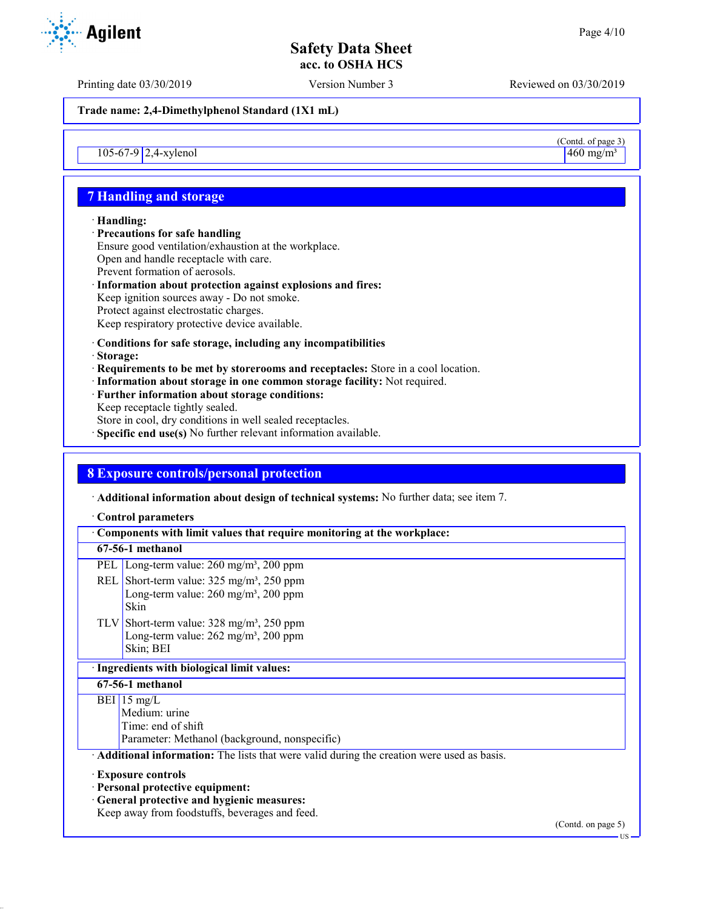(Contd. of page 3)

## **Safety Data Sheet acc. to OSHA HCS**

Printing date 03/30/2019 Version Number 3 Reviewed on 03/30/2019

**Trade name: 2,4-Dimethylphenol Standard (1X1 mL)**

 $105-67-9$  2,4-xylenol  $460 \text{ mg/m}^3$ 

## **7 Handling and storage**

#### · **Handling:**

· **Precautions for safe handling** Ensure good ventilation/exhaustion at the workplace. Open and handle receptacle with care. Prevent formation of aerosols. · **Information about protection against explosions and fires:**

- Keep ignition sources away Do not smoke. Protect against electrostatic charges. Keep respiratory protective device available.
- · **Conditions for safe storage, including any incompatibilities**
- · **Storage:**
- · **Requirements to be met by storerooms and receptacles:** Store in a cool location.
- · **Information about storage in one common storage facility:** Not required.
- · **Further information about storage conditions:** Keep receptacle tightly sealed.
- Store in cool, dry conditions in well sealed receptacles.
- · **Specific end use(s)** No further relevant information available.

## **8 Exposure controls/personal protection**

· **Additional information about design of technical systems:** No further data; see item 7.

#### · **Control parameters**

| Components with limit values that require monitoring at the workplace:                                      |                                                                       |  |  |  |
|-------------------------------------------------------------------------------------------------------------|-----------------------------------------------------------------------|--|--|--|
| 67-56-1 methanol                                                                                            |                                                                       |  |  |  |
| PEL                                                                                                         | Long-term value: $260 \text{ mg/m}^3$ , $200 \text{ ppm}$             |  |  |  |
| REL Short-term value: $325 \text{ mg/m}^3$ , $250 \text{ ppm}$<br><b>Skin</b>                               | Long-term value: $260 \text{ mg/m}^3$ , $200 \text{ ppm}$             |  |  |  |
| TLV Short-term value: $328 \text{ mg/m}^3$ , $250 \text{ ppm}$<br>Skin; BEI                                 | Long-term value: $262$ mg/m <sup>3</sup> , 200 ppm                    |  |  |  |
| · Ingredients with biological limit values:                                                                 |                                                                       |  |  |  |
| 67-56-1 methanol                                                                                            |                                                                       |  |  |  |
| BEI 15 mg/L<br>Medium: urine<br>Time: end of shift                                                          | Parameter: Methanol (background, nonspecific)                         |  |  |  |
| Additional information: The lists that were valid during the creation were used as basis.                   |                                                                       |  |  |  |
| <b>Exposure controls</b><br>· Personal protective equipment:<br>· General protective and hygienic measures: | Keep away from foodstuffs, beverages and feed.<br>$(0.011)$ $(0.011)$ |  |  |  |



(Contd. on page 5)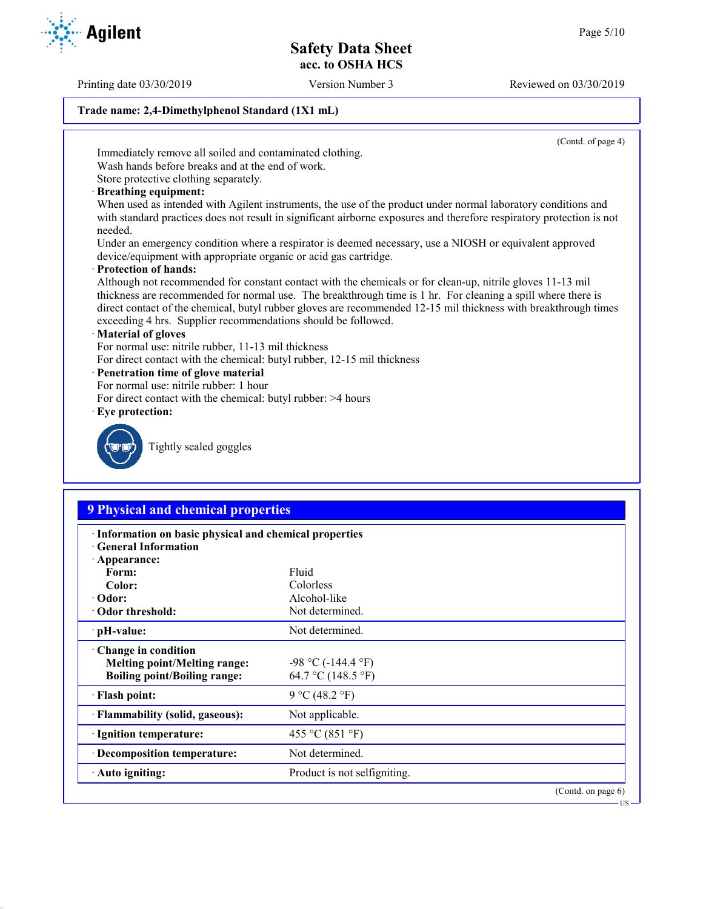Printing date 03/30/2019 Version Number 3 Reviewed on 03/30/2019

#### **Trade name: 2,4-Dimethylphenol Standard (1X1 mL)**

(Contd. of page 4)

Immediately remove all soiled and contaminated clothing.

Wash hands before breaks and at the end of work. Store protective clothing separately.

- 
- · **Breathing equipment:**

When used as intended with Agilent instruments, the use of the product under normal laboratory conditions and with standard practices does not result in significant airborne exposures and therefore respiratory protection is not needed.

Under an emergency condition where a respirator is deemed necessary, use a NIOSH or equivalent approved device/equipment with appropriate organic or acid gas cartridge.

· **Protection of hands:**

Although not recommended for constant contact with the chemicals or for clean-up, nitrile gloves 11-13 mil thickness are recommended for normal use. The breakthrough time is 1 hr. For cleaning a spill where there is direct contact of the chemical, butyl rubber gloves are recommended 12-15 mil thickness with breakthrough times exceeding 4 hrs. Supplier recommendations should be followed.

#### · **Material of gloves**

For normal use: nitrile rubber, 11-13 mil thickness

For direct contact with the chemical: butyl rubber, 12-15 mil thickness

### · **Penetration time of glove material**

- For normal use: nitrile rubber: 1 hour
- For direct contact with the chemical: butyl rubber: >4 hours
- · **Eye protection:**



Tightly sealed goggles

## **9 Physical and chemical properties**

| · Information on basic physical and chemical properties<br><b>Ceneral Information</b>                     |                                               |  |  |  |
|-----------------------------------------------------------------------------------------------------------|-----------------------------------------------|--|--|--|
| · Appearance:<br>Form:                                                                                    | Fluid                                         |  |  |  |
| Color:                                                                                                    | Colorless                                     |  |  |  |
| $\cdot$ Odor:                                                                                             | Alcohol-like                                  |  |  |  |
| Odor threshold:                                                                                           | Not determined.                               |  |  |  |
| $\cdot$ pH-value:                                                                                         | Not determined.                               |  |  |  |
| $\cdot$ Change in condition<br><b>Melting point/Melting range:</b><br><b>Boiling point/Boiling range:</b> | $-98$ °C ( $-144.4$ °F)<br>64.7 °C (148.5 °F) |  |  |  |
| · Flash point:                                                                                            | 9 °C (48.2 °F)                                |  |  |  |
| · Flammability (solid, gaseous):                                                                          | Not applicable.                               |  |  |  |
| · Ignition temperature:                                                                                   | 455 °C (851 °F)                               |  |  |  |
| · Decomposition temperature:                                                                              | Not determined.                               |  |  |  |
| · Auto igniting:                                                                                          | Product is not selfigniting.                  |  |  |  |
|                                                                                                           | $(Contd)$ on page 6)                          |  |  |  |

(Contd. on pag US

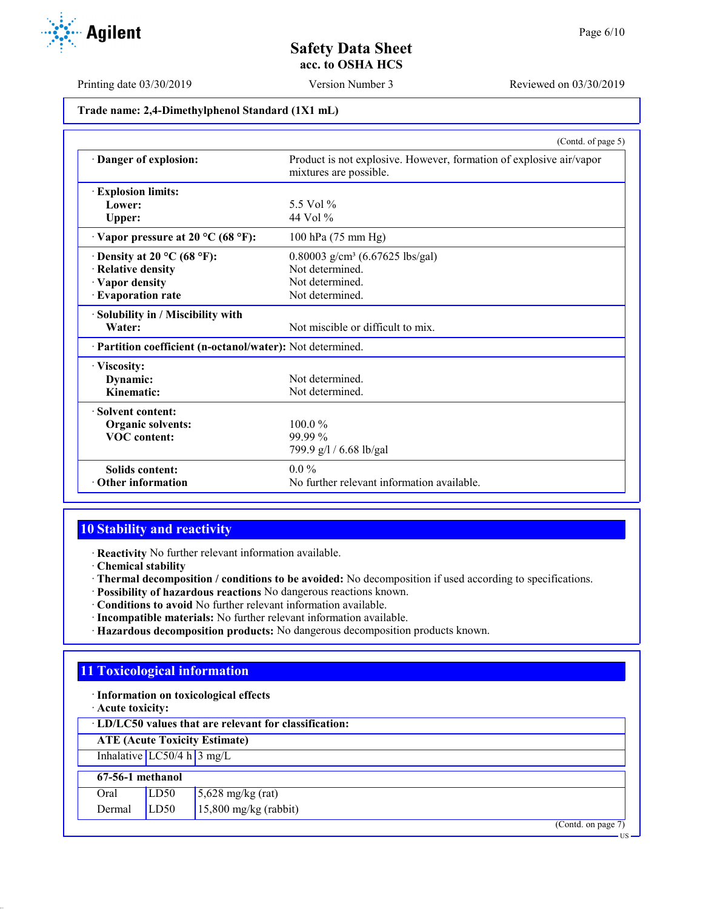Printing date 03/30/2019 Version Number 3 Reviewed on 03/30/2019

#### **Trade name: 2,4-Dimethylphenol Standard (1X1 mL)**

|                                                                                  | (Contd. of page 5)                                                                            |
|----------------------------------------------------------------------------------|-----------------------------------------------------------------------------------------------|
| Danger of explosion:                                                             | Product is not explosive. However, formation of explosive air/vapor<br>mixtures are possible. |
| <b>Explosion limits:</b>                                                         |                                                                                               |
| Lower:                                                                           | 5.5 Vol %                                                                                     |
| Upper:                                                                           | 44 Vol $\%$                                                                                   |
| $\cdot$ Vapor pressure at 20 °C (68 °F):                                         | 100 hPa (75 mm Hg)                                                                            |
| 0.80003 g/cm <sup>3</sup> (6.67625 lbs/gal)<br>$\cdot$ Density at 20 °C (68 °F): |                                                                                               |
| · Relative density                                                               | Not determined.                                                                               |
| · Vapor density                                                                  | Not determined.                                                                               |
| · Evaporation rate                                                               | Not determined.                                                                               |
| · Solubility in / Miscibility with                                               |                                                                                               |
| Water:                                                                           | Not miscible or difficult to mix.                                                             |
| · Partition coefficient (n-octanol/water): Not determined.                       |                                                                                               |
| · Viscosity:                                                                     |                                                                                               |
| Dynamic:                                                                         | Not determined.                                                                               |
| Kinematic:                                                                       | Not determined.                                                                               |
| · Solvent content:                                                               |                                                                                               |
| Organic solvents:                                                                | $100.0\%$                                                                                     |
| <b>VOC</b> content:                                                              | 99.99%                                                                                        |
|                                                                                  | 799.9 g/l / 6.68 lb/gal                                                                       |
| <b>Solids content:</b>                                                           | $0.0\%$                                                                                       |
| $\cdot$ Other information                                                        | No further relevant information available.                                                    |

## **10 Stability and reactivity**

· **Reactivity** No further relevant information available.

- · **Chemical stability**
- · **Thermal decomposition / conditions to be avoided:** No decomposition if used according to specifications.
- · **Possibility of hazardous reactions** No dangerous reactions known.
- · **Conditions to avoid** No further relevant information available.
- · **Incompatible materials:** No further relevant information available.
- · **Hazardous decomposition products:** No dangerous decomposition products known.

## **11 Toxicological information**

- · **Information on toxicological effects**
- · **Acute toxicity:**

· **LD/LC50 values that are relevant for classification:**

**ATE (Acute Toxicity Estimate)**

Inhalative  $LC50/4$  h  $3$  mg/L

#### **67-56-1 methanol** Oral  $\overline{L}$  LD50 5,628 mg/kg (rat)

| va              | الاحتصار | $\frac{1}{2}$ ,020 mg/kg (iai) |
|-----------------|----------|--------------------------------|
| $Dermal$ $LD50$ |          | $15,800$ mg/kg (rabbit)        |

(Contd. on page 7)

US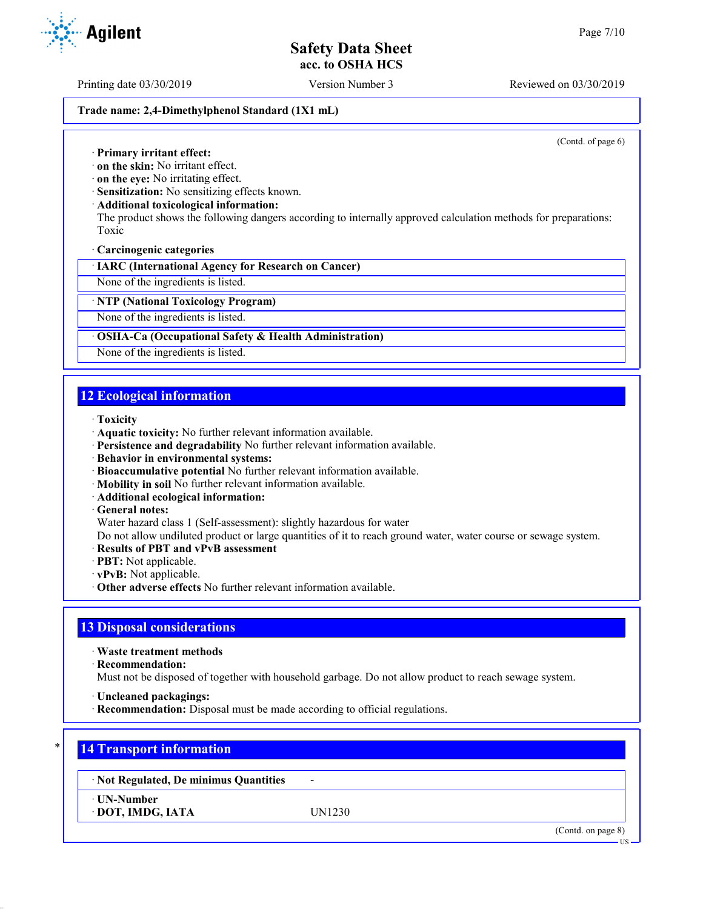Printing date 03/30/2019 Version Number 3 Reviewed on 03/30/2019

#### **Trade name: 2,4-Dimethylphenol Standard (1X1 mL)**

(Contd. of page 6)

· **Primary irritant effect:**

· **on the skin:** No irritant effect.

· **on the eye:** No irritating effect.

· **Sensitization:** No sensitizing effects known.

· **Additional toxicological information:**

The product shows the following dangers according to internally approved calculation methods for preparations: Toxic

· **Carcinogenic categories**

· **IARC (International Agency for Research on Cancer)**

None of the ingredients is listed.

· **NTP (National Toxicology Program)**

None of the ingredients is listed.

#### · **OSHA-Ca (Occupational Safety & Health Administration)**

None of the ingredients is listed.

## **12 Ecological information**

- · **Toxicity**
- · **Aquatic toxicity:** No further relevant information available.
- · **Persistence and degradability** No further relevant information available.
- · **Behavior in environmental systems:**
- · **Bioaccumulative potential** No further relevant information available.
- · **Mobility in soil** No further relevant information available.
- · **Additional ecological information:**
- · **General notes:**

Water hazard class 1 (Self-assessment): slightly hazardous for water

Do not allow undiluted product or large quantities of it to reach ground water, water course or sewage system.

- · **Results of PBT and vPvB assessment**
- · **PBT:** Not applicable.
- · **vPvB:** Not applicable.
- · **Other adverse effects** No further relevant information available.

## **13 Disposal considerations**

· **Waste treatment methods**

· **Recommendation:**

Must not be disposed of together with household garbage. Do not allow product to reach sewage system.

- · **Uncleaned packagings:**
- · **Recommendation:** Disposal must be made according to official regulations.

## \* **14 Transport information**

· **Not Regulated, De minimus Quantities** -

· **UN-Number**

· **DOT, IMDG, IATA** UN1230

(Contd. on page 8)

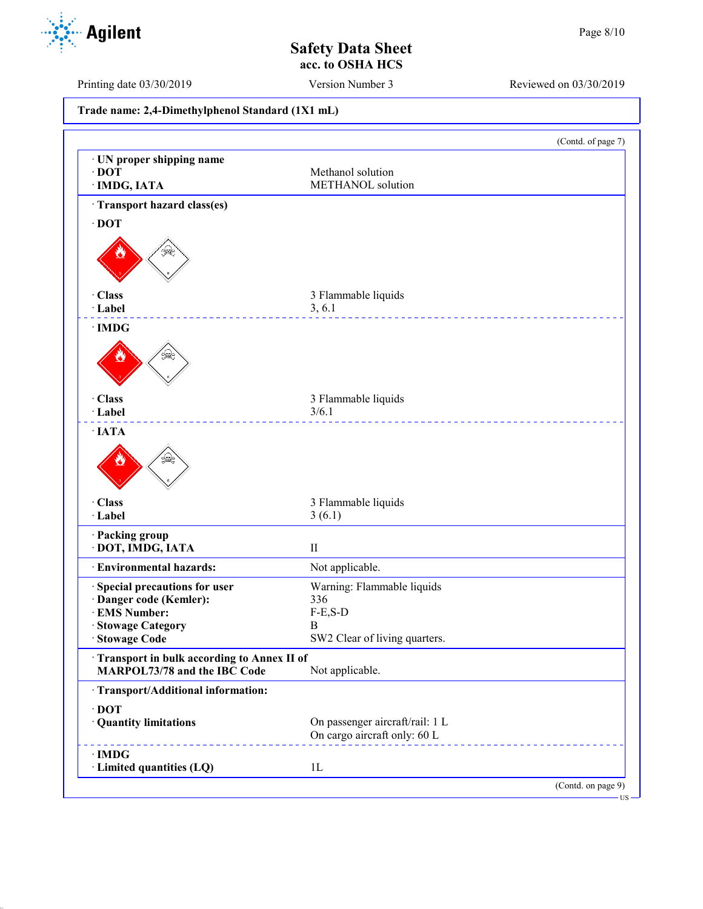Printing date 03/30/2019 Version Number 3 Reviewed on 03/30/2019

**Trade name: 2,4-Dimethylphenol Standard (1X1 mL)** (Contd. of page 7) · **UN proper shipping name** · **DOT** Methanol solution · **IMDG, IATA** METHANOL solution · **Transport hazard class(es)** · **DOT** · **Class** 3 Flammable liquids · **Label** 3, 6.1 <u>\_\_\_\_\_\_\_\_\_\_\_\_\_\_\_</u> · **IMDG** · **Class** 3 Flammable liquids · **Label** 3/6.1 <u>Liste de les de</u> · **IATA** · **Class** 3 Flammable liquids · **Label** 3 (6.1) · **Packing group** · **DOT, IMDG, IATA** II · **Environmental hazards:** Not applicable. · **Special precautions for user** Warning: Flammable liquids · **Danger code (Kemler):** 336  $\cdot$  **EMS Number:** · **Stowage Category** B SW2 Clear of living quarters. · **Transport in bulk according to Annex II of MARPOL73/78 and the IBC Code** Not applicable. · **Transport/Additional information:** · **DOT** · **Quantity limitations** On passenger aircraft/rail: 1 L On cargo aircraft only: 60 L · **IMDG** · **Limited quantities (LQ)** 1L (Contd. on page 9) US

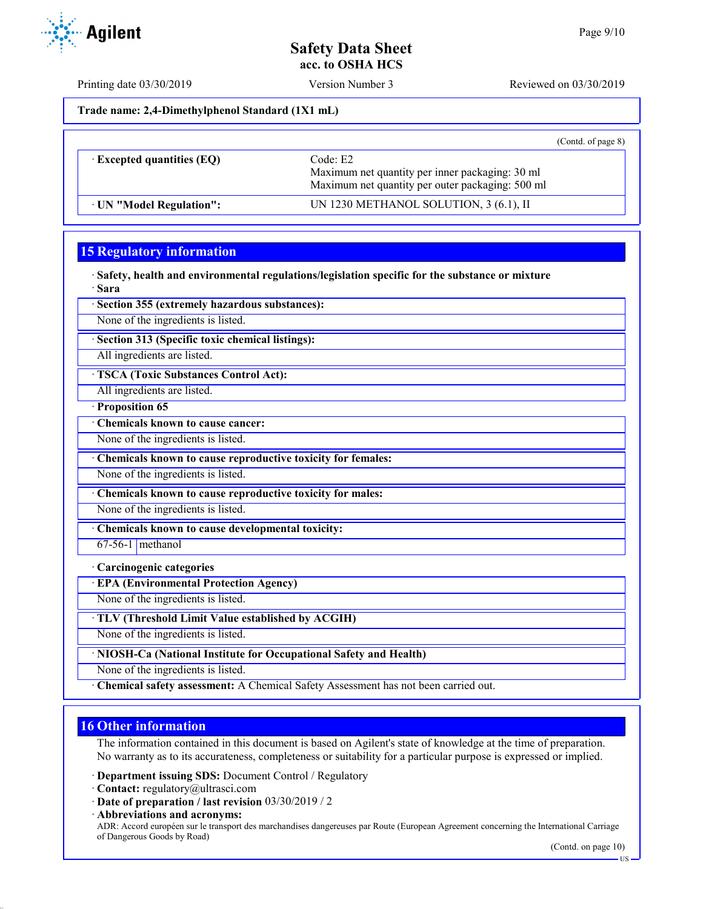Printing date 03/30/2019 Version Number 3 Reviewed on 03/30/2019

**Trade name: 2,4-Dimethylphenol Standard (1X1 mL)**

|                                                                                                                                                     |                                        | (Contd. of page $8$ ) |
|-----------------------------------------------------------------------------------------------------------------------------------------------------|----------------------------------------|-----------------------|
| Code: E2<br>$\cdot$ Excepted quantities (EQ)<br>Maximum net quantity per inner packaging: 30 ml<br>Maximum net quantity per outer packaging: 500 ml |                                        |                       |
| UN "Model Regulation":                                                                                                                              | UN 1230 METHANOL SOLUTION, 3 (6.1), II |                       |

## **15 Regulatory information**

· **Safety, health and environmental regulations/legislation specific for the substance or mixture** · **Sara**

· **Section 355 (extremely hazardous substances):**

None of the ingredients is listed.

· **Section 313 (Specific toxic chemical listings):**

All ingredients are listed.

· **TSCA (Toxic Substances Control Act):**

All ingredients are listed.

· **Proposition 65**

· **Chemicals known to cause cancer:**

None of the ingredients is listed.

· **Chemicals known to cause reproductive toxicity for females:**

None of the ingredients is listed.

· **Chemicals known to cause reproductive toxicity for males:**

None of the ingredients is listed.

· **Chemicals known to cause developmental toxicity:**

 $67-56-1$  methanol

#### · **Carcinogenic categories**

· **EPA (Environmental Protection Agency)**

None of the ingredients is listed.

· **TLV (Threshold Limit Value established by ACGIH)**

None of the ingredients is listed.

· **NIOSH-Ca (National Institute for Occupational Safety and Health)**

None of the ingredients is listed.

· **Chemical safety assessment:** A Chemical Safety Assessment has not been carried out.

## **16 Other information**

The information contained in this document is based on Agilent's state of knowledge at the time of preparation. No warranty as to its accurateness, completeness or suitability for a particular purpose is expressed or implied.

· **Department issuing SDS:** Document Control / Regulatory

- · **Contact:** regulatory@ultrasci.com
- · **Date of preparation / last revision** 03/30/2019 / 2

· **Abbreviations and acronyms:** ADR: Accord européen sur le transport des marchandises dangereuses par Route (European Agreement concerning the International Carriage of Dangerous Goods by Road)